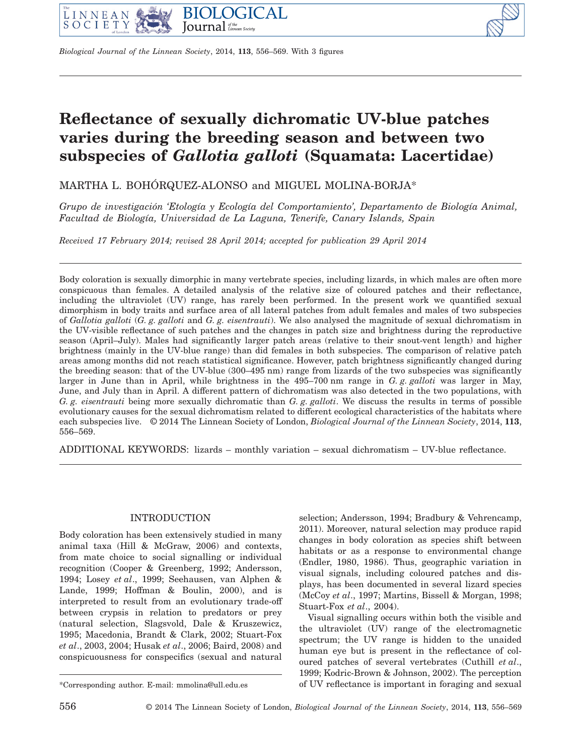

*Biological Journal of the Linnean Society*, 2014, **113**, 556–569. With 3 figures

# **Reflectance of sexually dichromatic UV-blue patches varies during the breeding season and between two subspecies of** *Gallotia galloti* **(Squamata: Lacertidae)**

MARTHA L. BOHÓRQUEZ-ALONSO and MIGUEL MOLINA-BORJA\*

*Grupo de investigación 'Etología y Ecología del Comportamiento', Departamento de Biología Animal, Facultad de Biología, Universidad de La Laguna, Tenerife, Canary Islands, Spain*

*Received 17 February 2014; revised 28 April 2014; accepted for publication 29 April 2014*

Body coloration is sexually dimorphic in many vertebrate species, including lizards, in which males are often more conspicuous than females. A detailed analysis of the relative size of coloured patches and their reflectance, including the ultraviolet (UV) range, has rarely been performed. In the present work we quantified sexual dimorphism in body traits and surface area of all lateral patches from adult females and males of two subspecies of *Gallotia galloti* (*G. g. galloti* and *G. g. eisentrauti*). We also analysed the magnitude of sexual dichromatism in the UV-visible reflectance of such patches and the changes in patch size and brightness during the reproductive season (April–July). Males had significantly larger patch areas (relative to their snout-vent length) and higher brightness (mainly in the UV-blue range) than did females in both subspecies. The comparison of relative patch areas among months did not reach statistical significance. However, patch brightness significantly changed during the breeding season: that of the UV-blue (300–495 nm) range from lizards of the two subspecies was significantly larger in June than in April, while brightness in the 495–700 nm range in *G. g. galloti* was larger in May, June, and July than in April. A different pattern of dichromatism was also detected in the two populations, with *G. g. eisentrauti* being more sexually dichromatic than *G. g. galloti*. We discuss the results in terms of possible evolutionary causes for the sexual dichromatism related to different ecological characteristics of the habitats where each subspecies live. © 2014 The Linnean Society of London, *Biological Journal of the Linnean Society*, 2014, **113**, 556–569.

ADDITIONAL KEYWORDS: lizards – monthly variation – sexual dichromatism – UV-blue reflectance.

## INTRODUCTION

Body coloration has been extensively studied in many animal taxa (Hill & McGraw, 2006) and contexts, from mate choice to social signalling or individual recognition (Cooper & Greenberg, 1992; Andersson, 1994; Losey *et al*., 1999; Seehausen, van Alphen & Lande, 1999; Hoffman & Boulin, 2000), and is interpreted to result from an evolutionary trade-off between crypsis in relation to predators or prey (natural selection, Slagsvold, Dale & Kruszewicz, 1995; Macedonia, Brandt & Clark, 2002; Stuart-Fox *et al*., 2003, 2004; Husak *et al*., 2006; Baird, 2008) and conspicuousness for conspecifics (sexual and natural selection; Andersson, 1994; Bradbury & Vehrencamp, 2011). Moreover, natural selection may produce rapid changes in body coloration as species shift between habitats or as a response to environmental change (Endler, 1980, 1986). Thus, geographic variation in visual signals, including coloured patches and displays, has been documented in several lizard species (McCoy *et al*., 1997; Martins, Bissell & Morgan, 1998; Stuart-Fox *et al*., 2004).

Visual signalling occurs within both the visible and the ultraviolet (UV) range of the electromagnetic spectrum; the UV range is hidden to the unaided human eye but is present in the reflectance of coloured patches of several vertebrates (Cuthill *et al*., 1999; Kodric-Brown & Johnson, 2002). The perception \*Corresponding author. E-mail: [mmolina@ull.edu.es](mailto:mmolina@ull.edu.es) of UV reflectance is important in foraging and sexual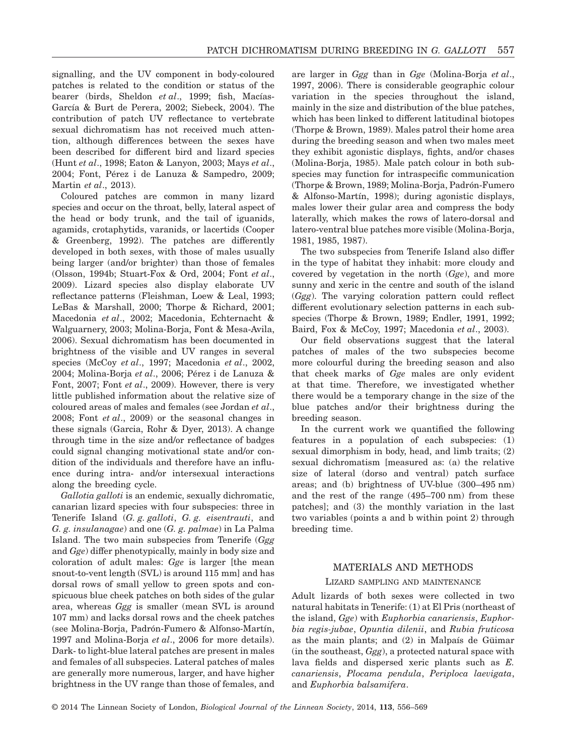signalling, and the UV component in body-coloured patches is related to the condition or status of the bearer (birds, Sheldon *et al*., 1999; fish, Macías-García & Burt de Perera, 2002; Siebeck, 2004). The contribution of patch UV reflectance to vertebrate sexual dichromatism has not received much attention, although differences between the sexes have been described for different bird and lizard species (Hunt *et al*., 1998; Eaton & Lanyon, 2003; Mays *et al*., 2004; Font, Pérez i de Lanuza & Sampedro, 2009; Martin *et al*., 2013).

Coloured patches are common in many lizard species and occur on the throat, belly, lateral aspect of the head or body trunk, and the tail of iguanids, agamids, crotaphytids, varanids, or lacertids (Cooper & Greenberg, 1992). The patches are differently developed in both sexes, with those of males usually being larger (and/or brighter) than those of females (Olsson, 1994b; Stuart-Fox & Ord, 2004; Font *et al*., 2009). Lizard species also display elaborate UV reflectance patterns (Fleishman, Loew & Leal, 1993; LeBas & Marshall, 2000; Thorpe & Richard, 2001; Macedonia *et al*., 2002; Macedonia, Echternacht & Walguarnery, 2003; Molina-Borja, Font & Mesa-Avila, 2006). Sexual dichromatism has been documented in brightness of the visible and UV ranges in several species (McCoy *et al*., 1997; Macedonia *et al*., 2002, 2004; Molina-Borja *et al*., 2006; Pérez i de Lanuza & Font, 2007; Font *et al*., 2009). However, there is very little published information about the relative size of coloured areas of males and females (see Jordan *et al*., 2008; Font *et al*., 2009) or the seasonal changes in these signals (Garcia, Rohr & Dyer, 2013). A change through time in the size and/or reflectance of badges could signal changing motivational state and/or condition of the individuals and therefore have an influence during intra- and/or intersexual interactions along the breeding cycle.

*Gallotia galloti* is an endemic, sexually dichromatic, canarian lizard species with four subspecies: three in Tenerife Island (*G. g. galloti*, *G. g. eisentrauti*, and *G. g. insulanagae*) and one (*G. g. palmae*) in La Palma Island. The two main subspecies from Tenerife (*Ggg* and *Gge*) differ phenotypically, mainly in body size and coloration of adult males: *Gge* is larger [the mean snout-to-vent length (SVL) is around 115 mm] and has dorsal rows of small yellow to green spots and conspicuous blue cheek patches on both sides of the gular area, whereas *Ggg* is smaller (mean SVL is around 107 mm) and lacks dorsal rows and the cheek patches (see Molina-Borja, Padrón-Fumero & Alfonso-Martín, 1997 and Molina-Borja *et al*., 2006 for more details). Dark- to light-blue lateral patches are present in males and females of all subspecies. Lateral patches of males are generally more numerous, larger, and have higher brightness in the UV range than those of females, and are larger in *Ggg* than in *Gge* (Molina-Borja *et al*., 1997, 2006). There is considerable geographic colour variation in the species throughout the island, mainly in the size and distribution of the blue patches, which has been linked to different latitudinal biotopes (Thorpe & Brown, 1989). Males patrol their home area during the breeding season and when two males meet they exhibit agonistic displays, fights, and/or chases (Molina-Borja, 1985). Male patch colour in both subspecies may function for intraspecific communication (Thorpe & Brown, 1989; Molina-Borja, Padrón-Fumero & Alfonso-Martín, 1998); during agonistic displays, males lower their gular area and compress the body laterally, which makes the rows of latero-dorsal and latero-ventral blue patches more visible (Molina-Borja, 1981, 1985, 1987).

The two subspecies from Tenerife Island also differ in the type of habitat they inhabit: more cloudy and covered by vegetation in the north (*Gge*), and more sunny and xeric in the centre and south of the island (*Ggg*). The varying coloration pattern could reflect different evolutionary selection patterns in each subspecies (Thorpe & Brown, 1989; Endler, 1991, 1992; Baird, Fox & McCoy, 1997; Macedonia *et al*., 2003).

Our field observations suggest that the lateral patches of males of the two subspecies become more colourful during the breeding season and also that cheek marks of *Gge* males are only evident at that time. Therefore, we investigated whether there would be a temporary change in the size of the blue patches and/or their brightness during the breeding season.

In the current work we quantified the following features in a population of each subspecies: (1) sexual dimorphism in body, head, and limb traits; (2) sexual dichromatism [measured as: (a) the relative size of lateral (dorso and ventral) patch surface areas; and (b) brightness of UV-blue (300–495 nm) and the rest of the range (495–700 nm) from these patches]; and (3) the monthly variation in the last two variables (points a and b within point 2) through breeding time.

## MATERIALS AND METHODS

## LIZARD SAMPLING AND MAINTENANCE

Adult lizards of both sexes were collected in two natural habitats in Tenerife: (1) at El Pris (northeast of the island, *Gge*) with *Euphorbia canariensis*, *Euphorbia regis-jubae*, *Opuntia dilenii*, and *Rubia fruticosa* as the main plants; and (2) in Malpaís de Güimar (in the southeast, *Ggg*), a protected natural space with lava fields and dispersed xeric plants such as *E. canariensis*, *Plocama pendula*, *Periploca laevigata*, and *Euphorbia balsamifera*.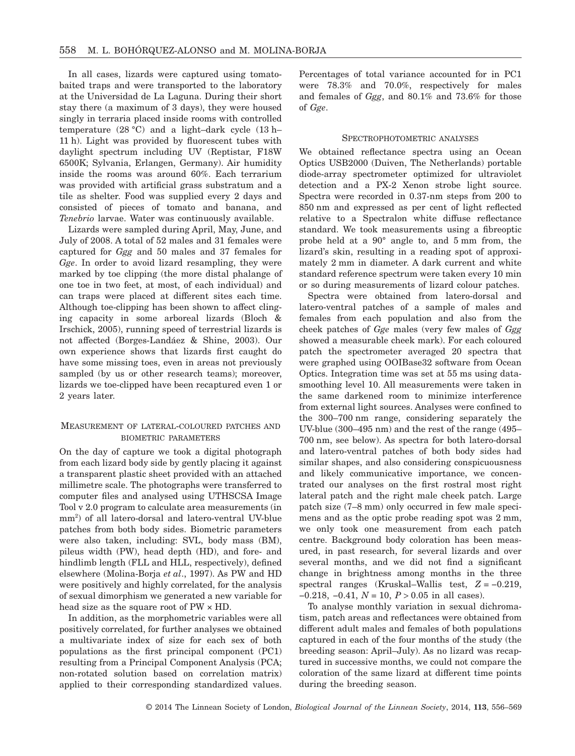In all cases, lizards were captured using tomatobaited traps and were transported to the laboratory at the Universidad de La Laguna. During their short stay there (a maximum of 3 days), they were housed singly in terraria placed inside rooms with controlled temperature  $(28 \text{ °C})$  and a light-dark cycle  $(13 \text{ h}$ -11 h). Light was provided by fluorescent tubes with daylight spectrum including UV (Reptistar, F18W 6500K; Sylvania, Erlangen, Germany). Air humidity inside the rooms was around 60%. Each terrarium was provided with artificial grass substratum and a tile as shelter. Food was supplied every 2 days and consisted of pieces of tomato and banana, and *Tenebrio* larvae. Water was continuously available.

Lizards were sampled during April, May, June, and July of 2008. A total of 52 males and 31 females were captured for *Ggg* and 50 males and 37 females for *Gge*. In order to avoid lizard resampling, they were marked by toe clipping (the more distal phalange of one toe in two feet, at most, of each individual) and can traps were placed at different sites each time. Although toe-clipping has been shown to affect clinging capacity in some arboreal lizards (Bloch & Irschick, 2005), running speed of terrestrial lizards is not affected (Borges-Landáez & Shine, 2003). Our own experience shows that lizards first caught do have some missing toes, even in areas not previously sampled (by us or other research teams); moreover, lizards we toe-clipped have been recaptured even 1 or 2 years later.

## MEASUREMENT OF LATERAL-COLOURED PATCHES AND BIOMETRIC PARAMETERS

On the day of capture we took a digital photograph from each lizard body side by gently placing it against a transparent plastic sheet provided with an attached millimetre scale. The photographs were transferred to computer files and analysed using UTHSCSA Image Tool v 2.0 program to calculate area measurements (in mm2 ) of all latero-dorsal and latero-ventral UV-blue patches from both body sides. Biometric parameters were also taken, including: SVL, body mass (BM), pileus width (PW), head depth (HD), and fore- and hindlimb length (FLL and HLL, respectively), defined elsewhere (Molina-Borja *et al*., 1997). As PW and HD were positively and highly correlated, for the analysis of sexual dimorphism we generated a new variable for head size as the square root of PW × HD.

In addition, as the morphometric variables were all positively correlated, for further analyses we obtained a multivariate index of size for each sex of both populations as the first principal component (PC1) resulting from a Principal Component Analysis (PCA; non-rotated solution based on correlation matrix) applied to their corresponding standardized values.

Percentages of total variance accounted for in PC1 were 78.3% and 70.0%, respectively for males and females of *Ggg*, and 80.1% and 73.6% for those of *Gge*.

#### SPECTROPHOTOMETRIC ANALYSES

We obtained reflectance spectra using an Ocean Optics USB2000 (Duiven, The Netherlands) portable diode-array spectrometer optimized for ultraviolet detection and a PX-2 Xenon strobe light source. Spectra were recorded in 0.37-nm steps from 200 to 850 nm and expressed as per cent of light reflected relative to a Spectralon white diffuse reflectance standard. We took measurements using a fibreoptic probe held at a 90° angle to, and 5 mm from, the lizard's skin, resulting in a reading spot of approximately 2 mm in diameter. A dark current and white standard reference spectrum were taken every 10 min or so during measurements of lizard colour patches.

Spectra were obtained from latero-dorsal and latero-ventral patches of a sample of males and females from each population and also from the cheek patches of *Gge* males (very few males of *Ggg* showed a measurable cheek mark). For each coloured patch the spectrometer averaged 20 spectra that were graphed using OOIBase32 software from Ocean Optics. Integration time was set at 55 ms using datasmoothing level 10. All measurements were taken in the same darkened room to minimize interference from external light sources. Analyses were confined to the 300–700 nm range, considering separately the UV-blue (300–495 nm) and the rest of the range (495– 700 nm, see below). As spectra for both latero-dorsal and latero-ventral patches of both body sides had similar shapes, and also considering conspicuousness and likely communicative importance, we concentrated our analyses on the first rostral most right lateral patch and the right male cheek patch. Large patch size (7–8 mm) only occurred in few male specimens and as the optic probe reading spot was 2 mm, we only took one measurement from each patch centre. Background body coloration has been measured, in past research, for several lizards and over several months, and we did not find a significant change in brightness among months in the three spectral ranges (Kruskal–Wallis test, *Z* = −0.219, −0.218, −0.41, *N* = 10, *P* > 0.05 in all cases).

To analyse monthly variation in sexual dichromatism, patch areas and reflectances were obtained from different adult males and females of both populations captured in each of the four months of the study (the breeding season: April–July). As no lizard was recaptured in successive months, we could not compare the coloration of the same lizard at different time points during the breeding season.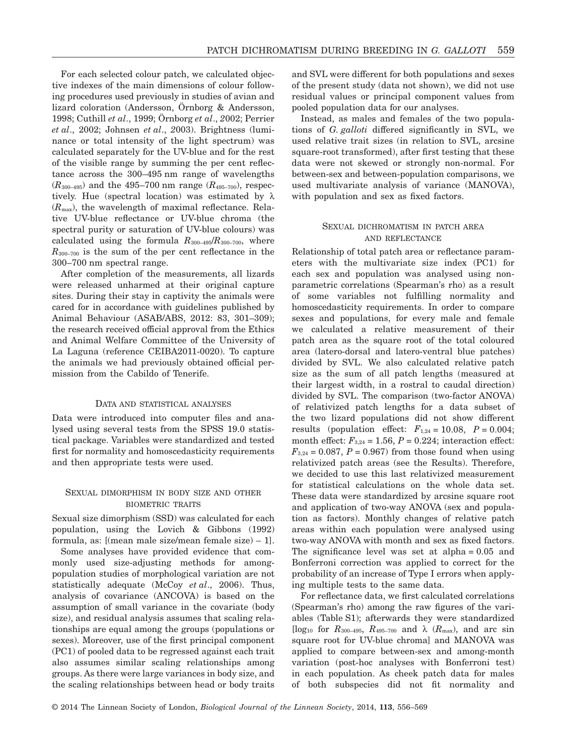For each selected colour patch, we calculated objective indexes of the main dimensions of colour following procedures used previously in studies of avian and lizard coloration (Andersson, Örnborg & Andersson, 1998; Cuthill *et al*., 1999; Örnborg *et al*., *2*002; Perrier *et al*., 2002; Johnsen *et al*., *2*003). Brightness (luminance or total intensity of the light spectrum) was calculated separately for the UV-blue and for the rest of the visible range by summing the per cent reflectance across the 300–495 nm range of wavelengths  $(R_{300-495})$  and the 495–700 nm range  $(R_{495-700})$ , respectively. Hue (spectral location) was estimated by  $\lambda$ (*R*max), the wavelength of maximal reflectance. Relative UV-blue reflectance or UV-blue chroma (the spectral purity or saturation of UV-blue colours) was calculated using the formula  $R_{300-495}/R_{300-700}$ , where  $R_{300-700}$  is the sum of the per cent reflectance in the 300–700 nm spectral range.

After completion of the measurements, all lizards were released unharmed at their original capture sites. During their stay in captivity the animals were cared for in accordance with guidelines published by Animal Behaviour (ASAB/ABS, 2012: 83, 301–309); the research received official approval from the Ethics and Animal Welfare Committee of the University of La Laguna (reference CEIBA2011-0020). To capture the animals we had previously obtained official permission from the Cabildo of Tenerife.

#### DATA AND STATISTICAL ANALYSES

Data were introduced into computer files and analysed using several tests from the SPSS 19.0 statistical package. Variables were standardized and tested first for normality and homoscedasticity requirements and then appropriate tests were used.

## SEXUAL DIMORPHISM IN BODY SIZE AND OTHER BIOMETRIC TRAITS

Sexual size dimorphism (SSD) was calculated for each population, using the Lovich & Gibbons (1992) formula, as: [(mean male size/mean female size) – 1].

Some analyses have provided evidence that commonly used size-adjusting methods for amongpopulation studies of morphological variation are not statistically adequate (McCoy *et al*., 2006). Thus, analysis of covariance (ANCOVA) is based on the assumption of small variance in the covariate (body size), and residual analysis assumes that scaling relationships are equal among the groups (populations or sexes). Moreover, use of the first principal component (PC1) of pooled data to be regressed against each trait also assumes similar scaling relationships among groups. As there were large variances in body size, and the scaling relationships between head or body traits and SVL were different for both populations and sexes of the present study (data not shown), we did not use residual values or principal component values from pooled population data for our analyses.

Instead, as males and females of the two populations of *G. galloti* differed significantly in SVL, we used relative trait sizes (in relation to SVL, arcsine square-root transformed), after first testing that these data were not skewed or strongly non-normal. For between-sex and between-population comparisons, we used multivariate analysis of variance (MANOVA), with population and sex as fixed factors.

## SEXUAL DICHROMATISM IN PATCH AREA AND REFLECTANCE

Relationship of total patch area or reflectance parameters with the multivariate size index (PC1) for each sex and population was analysed using nonparametric correlations (Spearman's rho) as a result of some variables not fulfilling normality and homoscedasticity requirements. In order to compare sexes and populations, for every male and female we calculated a relative measurement of their patch area as the square root of the total coloured area (latero-dorsal and latero-ventral blue patches) divided by SVL. We also calculated relative patch size as the sum of all patch lengths (measured at their largest width, in a rostral to caudal direction) divided by SVL. The comparison (two-factor ANOVA) of relativized patch lengths for a data subset of the two lizard populations did not show different results (population effect:  $F_{1,24} = 10.08$ ,  $P = 0.004$ ; month effect:  $F_{3,24} = 1.56$ ,  $P = 0.224$ ; interaction effect:  $F_{3,24} = 0.087, P = 0.967$  from those found when using relativized patch areas (see the Results). Therefore, we decided to use this last relativized measurement for statistical calculations on the whole data set. These data were standardized by arcsine square root and application of two-way ANOVA (sex and population as factors). Monthly changes of relative patch areas within each population were analysed using two-way ANOVA with month and sex as fixed factors. The significance level was set at alpha = 0.05 and Bonferroni correction was applied to correct for the probability of an increase of Type I errors when applying multiple tests to the same data.

For reflectance data, we first calculated correlations (Spearman's rho) among the raw figures of the variables (Table S1); afterwards they were standardized [ $log_{10}$  for  $R_{300-495}$ ,  $R_{495-700}$  and λ ( $R_{\text{max}}$ ), and arc sin square root for UV-blue chroma] and MANOVA was applied to compare between-sex and among-month variation (post-hoc analyses with Bonferroni test) in each population. As cheek patch data for males of both subspecies did not fit normality and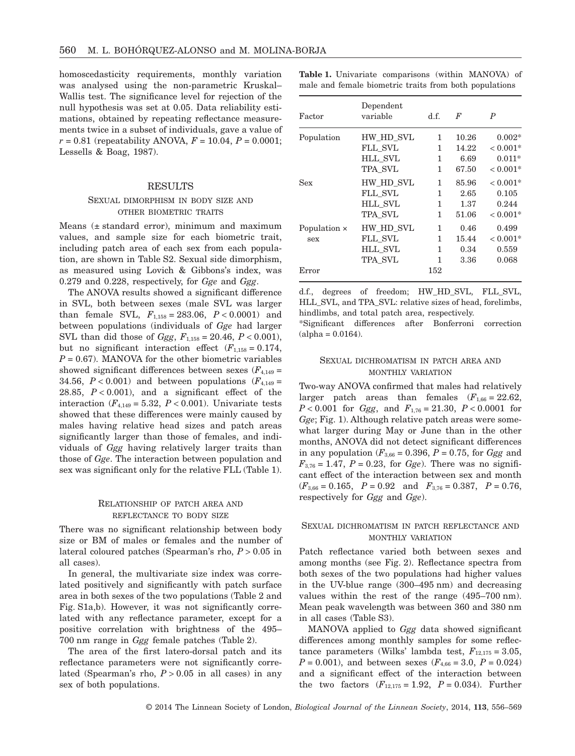homoscedasticity requirements, monthly variation was analysed using the non-parametric Kruskal– Wallis test. The significance level for rejection of the null hypothesis was set at 0.05. Data reliability estimations, obtained by repeating reflectance measurements twice in a subset of individuals, gave a value of  $r = 0.81$  (repeatability ANOVA,  $F = 10.04$ ,  $P = 0.0001$ ; Lessells & Boag, 1987).

#### RESULTS

#### SEXUAL DIMORPHISM IN BODY SIZE AND OTHER BIOMETRIC TRAITS

Means (± standard error), minimum and maximum values, and sample size for each biometric trait, including patch area of each sex from each population, are shown in Table S2. Sexual side dimorphism, as measured using Lovich & Gibbons's index, was 0.279 and 0.228, respectively, for *Gge* and *Ggg*.

The ANOVA results showed a significant difference in SVL, both between sexes (male SVL was larger than female SVL,  $F_{1,158} = 283.06$ ,  $P < 0.0001$ ) and between populations (individuals of *Gge* had larger SVL than did those of *Ggg*, *F*1,158 = 20.46, *P* < 0.001), but no significant interaction effect  $(F_{1,158} = 0.174,$  $P = 0.67$ ). MANOVA for the other biometric variables showed significant differences between sexes  $(F_{4,149} =$ 34.56,  $P < 0.001$ ) and between populations ( $F_{4,149} =$ 28.85,  $P < 0.001$ ), and a significant effect of the interaction  $(F_{4,149} = 5.32, P < 0.001)$ . Univariate tests showed that these differences were mainly caused by males having relative head sizes and patch areas significantly larger than those of females, and individuals of *Ggg* having relatively larger traits than those of *Gge*. The interaction between population and sex was significant only for the relative FLL (Table 1).

## RELATIONSHIP OF PATCH AREA AND REFLECTANCE TO BODY SIZE

There was no significant relationship between body size or BM of males or females and the number of lateral coloured patches (Spearman's rho, *P* > 0.05 in all cases).

In general, the multivariate size index was correlated positively and significantly with patch surface area in both sexes of the two populations (Table 2 and Fig. S1a,b). However, it was not significantly correlated with any reflectance parameter, except for a positive correlation with brightness of the 495– 700 nm range in *Ggg* female patches (Table 2).

The area of the first latero-dorsal patch and its reflectance parameters were not significantly correlated (Spearman's rho, *P* > 0.05 in all cases) in any sex of both populations.

|  | <b>Table 1.</b> Univariate comparisons (within MANOVA) of |  |  |
|--|-----------------------------------------------------------|--|--|
|  | male and female biometric traits from both populations    |  |  |

| Factor       | Dependent<br>variable | d.f. | $\boldsymbol{F}$ | $\boldsymbol{P}$ |
|--------------|-----------------------|------|------------------|------------------|
| Population   | HW HD SVL             | 1.   | 10.26            | $0.002*$         |
|              | FLL SVL               | 1    | 14.22            | $< 0.001*$       |
|              | <b>HLL SVL</b>        | 1    | 6.69             | $0.011*$         |
|              | TPA SVL               | 1    | 67.50            | $< 0.001*$       |
| Sex          | HW HD SVL             | 1    | 85.96            | $< 0.001*$       |
|              | FLL SVL               | 1    | 2.65             | 0.105            |
|              | <b>HLL SVL</b>        | 1    | 1.37             | 0.244            |
|              | TPA SVL               | 1    | 51.06            | $< 0.001*$       |
| Population × | HW HD SVL             | 1    | 0.46             | 0.499            |
| sex          | FLL SVL               | 1    | 15.44            | $< 0.001*$       |
|              | <b>HLL SVL</b>        | 1    | 0.34             | 0.559            |
|              | TPA SVL               | 1    | 3.36             | 0.068            |
| Error        |                       | 152  |                  |                  |

d.f., degrees of freedom; HW\_HD\_SVL, FLL\_SVL, HLL SVL, and TPA SVL: relative sizes of head, forelimbs, hindlimbs, and total patch area, respectively.

\*Significant differences after Bonferroni correction  $(alpha = 0.0164).$ 

## SEXUAL DICHROMATISM IN PATCH AREA AND MONTHLY VARIATION

Two-way ANOVA confirmed that males had relatively larger patch areas than females  $(F_{1,66} = 22.62)$ , *P* < 0.001 for *Ggg*, and *F*1,76 = 21.30, *P* < 0.0001 for *Gge*; Fig. 1). Although relative patch areas were somewhat larger during May or June than in the other months, ANOVA did not detect significant differences in any population ( $F_{3,66} = 0.396$ ,  $P = 0.75$ , for *Ggg* and  $F_{3,76} = 1.47$ ,  $P = 0.23$ , for *Gge*). There was no significant effect of the interaction between sex and month  $(F_{3,66} = 0.165, P = 0.92 \text{ and } F_{3,76} = 0.387, P = 0.76,$ respectively for *Ggg* and *Gge*).

#### SEXUAL DICHROMATISM IN PATCH REFLECTANCE AND MONTHLY VARIATION

Patch reflectance varied both between sexes and among months (see Fig. 2). Reflectance spectra from both sexes of the two populations had higher values in the UV-blue range (300–495 nm) and decreasing values within the rest of the range (495–700 nm). Mean peak wavelength was between 360 and 380 nm in all cases (Table S3).

MANOVA applied to *Ggg* data showed significant differences among monthly samples for some reflectance parameters (Wilks' lambda test,  $F_{12,175} = 3.05$ ,  $P = 0.001$ , and between sexes ( $F_{4,66} = 3.0$ ,  $P = 0.024$ ) and a significant effect of the interaction between the two factors  $(F_{12,175} = 1.92, P = 0.034)$ . Further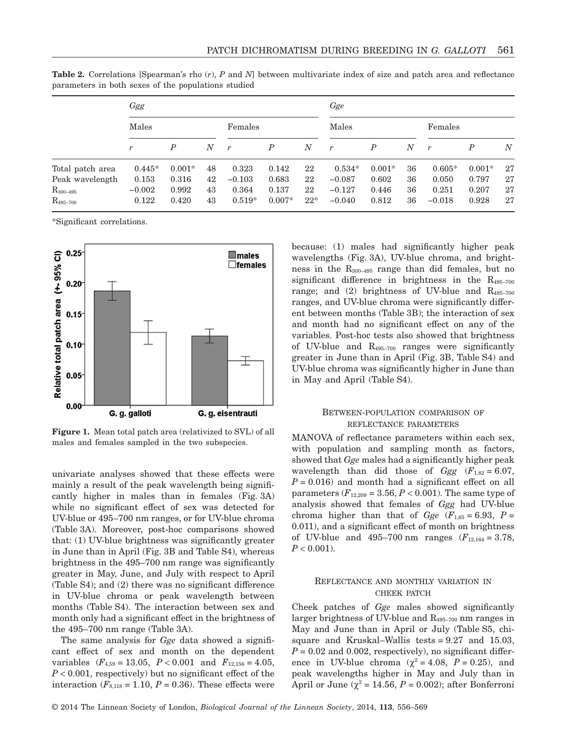|                  | Ggg      |                  |        |                | Gge              |                  |                  |          |            |                |          |                  |
|------------------|----------|------------------|--------|----------------|------------------|------------------|------------------|----------|------------|----------------|----------|------------------|
|                  | Males    |                  |        | Females        |                  | Males            |                  | Females  |            |                |          |                  |
|                  | r        | $\boldsymbol{P}$ | $_{N}$ | $\overline{r}$ | $\boldsymbol{P}$ | $\boldsymbol{N}$ | $\boldsymbol{r}$ | P        | $_{\it N}$ | $\overline{r}$ | P        | $\boldsymbol{N}$ |
| Total patch area | $0.445*$ | $0.001*$         | 48     | 0.323          | 0.142            | 22               | $0.534*$         | $0.001*$ | 36         | $0.605*$       | $0.001*$ | 27               |
| Peak wavelength  | 0.153    | 0.316            | 42     | $-0.103$       | 0.683            | 22               | $-0.087$         | 0.602    | 36         | 0.050          | 0.797    | 27               |
| $R_{300-495}$    | $-0.002$ | 0.992            | 43     | 0.364          | 0.137            | 22               | $-0.127$         | 0.446    | 36         | 0.251          | 0.207    | 27               |
| $R_{495-700}$    | 0.122    | 0.420            | 43     | $0.519*$       | $0.007*$         | $22*$            | $-0.040$         | 0.812    | 36         | $-0.018$       | 0.928    | 27               |

**Table 2.** Correlations [Spearman's rho (*r*), *P* and *N*] between multivariate index of size and patch area and reflectance parameters in both sexes of the populations studied

\*Significant correlations.



**Figure 1.** Mean total patch area (relativized to SVL) of all males and females sampled in the two subspecies.

univariate analyses showed that these effects were mainly a result of the peak wavelength being significantly higher in males than in females (Fig. 3A) while no significant effect of sex was detected for UV-blue or 495–700 nm ranges, or for UV-blue chroma (Table 3A). Moreover, post-hoc comparisons showed that: (1) UV-blue brightness was significantly greater in June than in April (Fig. 3B and Table S4), whereas brightness in the 495–700 nm range was significantly greater in May, June, and July with respect to April (Table S4); and (2) there was no significant difference in UV-blue chroma or peak wavelength between months (Table S4). The interaction between sex and month only had a significant effect in the brightness of the 495–700 nm range (Table 3A).

The same analysis for *Gge* data showed a significant effect of sex and month on the dependent variables  $(F_{4,59} = 13.05, P < 0.001$  and  $F_{12,156} = 4.05$ , *P* < 0.001, respectively) but no significant effect of the interaction  $(F_{8,118} = 1.10, P = 0.36)$ . These effects were because: (1) males had significantly higher peak wavelengths (Fig. 3A), UV-blue chroma, and brightness in the  $R_{300-495}$  range than did females, but no significant difference in brightness in the  $R_{495-700}$ range; and  $(2)$  brightness of UV-blue and  $R_{495-700}$ ranges, and UV-blue chroma were significantly different between months (Table 3B); the interaction of sex and month had no significant effect on any of the variables. Post-hoc tests also showed that brightness of UV-blue and  $R_{495-700}$  ranges were significantly greater in June than in April (Fig. 3B, Table S4) and UV-blue chroma was significantly higher in June than in May and April (Table S4).

#### BETWEEN-POPULATION COMPARISON OF REFLECTANCE PARAMETERS

MANOVA of reflectance parameters within each sex, with population and sampling month as factors, showed that *Gge* males had a significantly higher peak wavelength than did those of  $Ggg$  ( $F_{1,82} = 6.07$ ,  $P = 0.016$ ) and month had a significant effect on all parameters  $(F_{12,209} = 3.56, P < 0.001)$ . The same type of analysis showed that females of *Ggg* had UV-blue chroma higher than that of *Gge*  $(F_{1,65} = 6.93, P =$ 0.011), and a significant effect of month on brightness of UV-blue and  $495-700$  nm ranges  $(F_{12,164} = 3.78)$ ,  $P < 0.001$ ).

### REFLECTANCE AND MONTHLY VARIATION IN CHEEK PATCH

Cheek patches of *Gge* males showed significantly larger brightness of UV-blue and R495–700 nm ranges in May and June than in April or July (Table S5, chisquare and Kruskal–Wallis tests = 9.27 and 15.03,  $P = 0.02$  and 0.002, respectively), no significant difference in UV-blue chroma ( $\chi^2 = 4.08$ ,  $P = 0.25$ ), and peak wavelengths higher in May and July than in April or June ( $\chi^2$  = 14.56, *P* = 0.002); after Bonferroni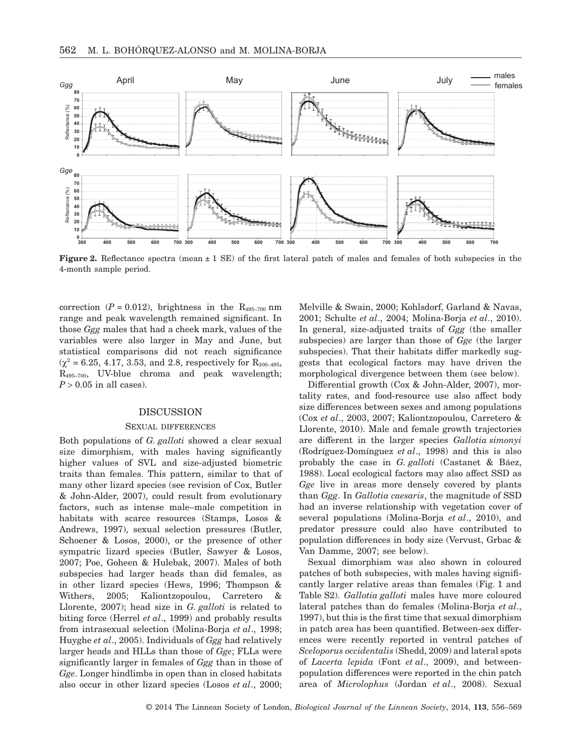

**Figure 2.** Reflectance spectra (mean  $\pm 1$  SE) of the first lateral patch of males and females of both subspecies in the 4-month sample period.

correction  $(P = 0.012)$ , brightness in the R<sub>495–700</sub> nm range and peak wavelength remained significant. In those *Ggg* males that had a cheek mark, values of the variables were also larger in May and June, but statistical comparisons did not reach significance  $(\chi^2 = 6.25, 4.17, 3.53, \text{ and } 2.8, \text{ respectively for } R_{300-495},$  $R_{495-700}$ , UV-blue chroma and peak wavelength;  $P > 0.05$  in all cases).

## DISCUSSION

#### SEXUAL DIFFERENCES

Both populations of *G. galloti* showed a clear sexual size dimorphism, with males having significantly higher values of SVL and size-adjusted biometric traits than females. This pattern, similar to that of many other lizard species (see revision of Cox, Butler & John-Alder, 2007), could result from evolutionary factors, such as intense male–male competition in habitats with scarce resources (Stamps, Losos & Andrews, 1997), sexual selection pressures (Butler, Schoener & Losos, 2000), or the presence of other sympatric lizard species (Butler, Sawyer & Losos, 2007; Poe, Goheen & Hulebak, 2007). Males of both subspecies had larger heads than did females, as in other lizard species (Hews, 1996; Thompson & Withers, 2005; Kaliontzopoulou, Carretero & Llorente, 2007); head size in *G. galloti* is related to biting force (Herrel *et al*., 1999) and probably results from intrasexual selection (Molina-Borja *et al*., 1998; Huyghe *et al*., 2005). Individuals of *Ggg* had relatively larger heads and HLLs than those of *Gge*; FLLs were significantly larger in females of *Ggg* than in those of *Gge*. Longer hindlimbs in open than in closed habitats also occur in other lizard species (Losos *et al*., 2000; Melville & Swain, 2000; Kohlsdorf, Garland & Navas, 2001; Schulte *et al*., 2004; Molina-Borja *et al*., 2010). In general, size-adjusted traits of *Ggg* (the smaller subspecies) are larger than those of *Gge* (the larger subspecies). That their habitats differ markedly suggests that ecological factors may have driven the morphological divergence between them (see below).

Differential growth (Cox & John-Alder, 2007), mortality rates, and food-resource use also affect body size differences between sexes and among populations (Cox *et al*., 2003, 2007; Kaliontzopoulou, Carretero & Llorente, 2010). Male and female growth trajectories are different in the larger species *Gallotia simonyi* (Rodríguez-Domínguez *et al*., 1998) and this is also probably the case in *G. galloti* (Castanet & Báez, 1988). Local ecological factors may also affect SSD as *Gge* live in areas more densely covered by plants than *Ggg*. In *Gallotia caesaris*, the magnitude of SSD had an inverse relationship with vegetation cover of several populations (Molina-Borja *et al*., 2010), and predator pressure could also have contributed to population differences in body size (Vervust, Grbac & Van Damme, 2007; see below).

Sexual dimorphism was also shown in coloured patches of both subspecies, with males having significantly larger relative areas than females (Fig. 1 and Table S2). *Gallotia galloti* males have more coloured lateral patches than do females (Molina-Borja *et al*., 1997), but this is the first time that sexual dimorphism in patch area has been quantified. Between-sex differences were recently reported in ventral patches of *Sceloporus occidentalis* (Shedd, 2009) and lateral spots of *Lacerta lepida* (Font *et al*., 2009), and betweenpopulation differences were reported in the chin patch area of *Microlophus* (Jordan *et al*., 2008). Sexual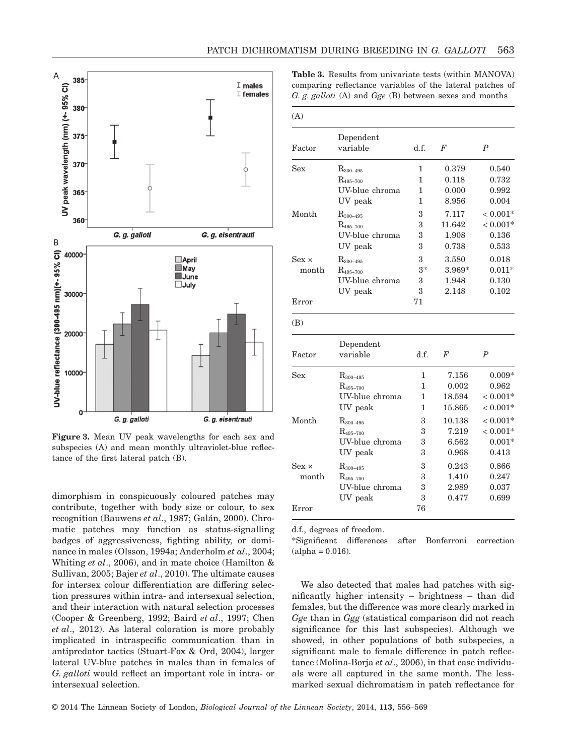

**Figure 3.** Mean UV peak wavelengths for each sex and subspecies (A) and mean monthly ultraviolet-blue reflectance of the first lateral patch (B).

dimorphism in conspicuously coloured patches may contribute, together with body size or colour, to sex recognition (Bauwens *et al*., 1987; Galán, 2000). Chromatic patches may function as status-signalling badges of aggressiveness, fighting ability, or dominance in males (Olsson, 1994a; Anderholm *et al*., 2004; Whiting *et al*., 2006), and in mate choice (Hamilton & Sullivan, 2005; Bajer *et al*., 2010). The ultimate causes for intersex colour differentiation are differing selection pressures within intra- and intersexual selection, and their interaction with natural selection processes (Cooper & Greenberg, 1992; Baird *et al*., 1997; Chen *et al*., 2012). As lateral coloration is more probably implicated in intraspecific communication than in antipredator tactics (Stuart-Fox & Ord, 2004), larger lateral UV-blue patches in males than in females of *G. galloti* would reflect an important role in intra- or intersexual selection.

**Table 3.** Results from univariate tests (within MANOVA) comparing reflectance variables of the lateral patches of *G. g. galloti* (A) and *Gge* (B) between sexes and months

| (A)          |                       |      |        |                  |
|--------------|-----------------------|------|--------|------------------|
| Factor       | Dependent<br>variable | d.f. | F      | $\boldsymbol{P}$ |
| Sex          | $R_{300-495}$         | 1    | 0.379  | 0.540            |
|              | $R_{495-700}$         | 1    | 0.118  | 0.732            |
|              | UV-blue chroma        | 1    | 0.000  | 0.992            |
|              | UV peak               | 1    | 8.956  | 0.004            |
| Month        | $R_{300-495}$         | 3    | 7.117  | $< 0.001*$       |
|              | $R_{495-700}$         | 3    | 11.642 | $< 0.001*$       |
|              | UV-blue chroma        | 3    | 1.908  | 0.136            |
|              | UV peak               | 3    | 0.738  | 0.533            |
| $Sex \times$ | $R_{300-495}$         | 3    | 3.580  | 0.018            |
| month        | $R_{495-700}$         | $3*$ | 3.969* | $0.011*$         |
|              | UV-blue chroma        | 3    | 1.948  | 0.130            |
|              | UV peak               | 3    | 2.148  | 0.102            |
| Error        |                       | 71   |        |                  |
| (B)          |                       |      |        |                  |
|              | Dependent             |      |        |                  |
| Factor       | variable              | d.f. | F      | $\boldsymbol{P}$ |
| Sex          | $R_{300-495}$         | 1    | 7.156  | $0.009*$         |
|              | $R_{495-700}$         | 1    | 0.002  | 0.962            |
|              | UV-blue chroma        | 1    | 18.594 | $< 0.001*$       |
|              | UV peak               | 1    | 15.865 | $< 0.001*$       |
| Month        | $R_{300-495}$         | 3    | 10.138 | $< 0.001*$       |
|              | $R_{495-700}$         | 3    | 7.219  | $< 0.001*$       |
|              | UV-blue chroma        | 3    | 6.562  | $0.001*$         |
|              | UV peak               | 3    | 0.968  | 0.413            |
| $Sex \times$ | $R_{300-495}$         | 3    | 0.243  | 0.866            |
| month        | $R_{495-700}$         | 3    | 1.410  | 0.247            |
|              | UV-blue chroma        | 3    | 2.989  | 0.037            |
|              | UV peak               | 3    | 0.477  | 0.699            |
| Error        |                       | 76   |        |                  |

d.f., degrees of freedom.

\*Significant differences after Bonferroni correction  $(alpha = 0.016).$ 

We also detected that males had patches with significantly higher intensity – brightness – than did females, but the difference was more clearly marked in *Gge* than in *Ggg* (statistical comparison did not reach significance for this last subspecies). Although we showed, in other populations of both subspecies, a significant male to female difference in patch reflectance (Molina-Borja *et al*., 2006), in that case individuals were all captured in the same month. The lessmarked sexual dichromatism in patch reflectance for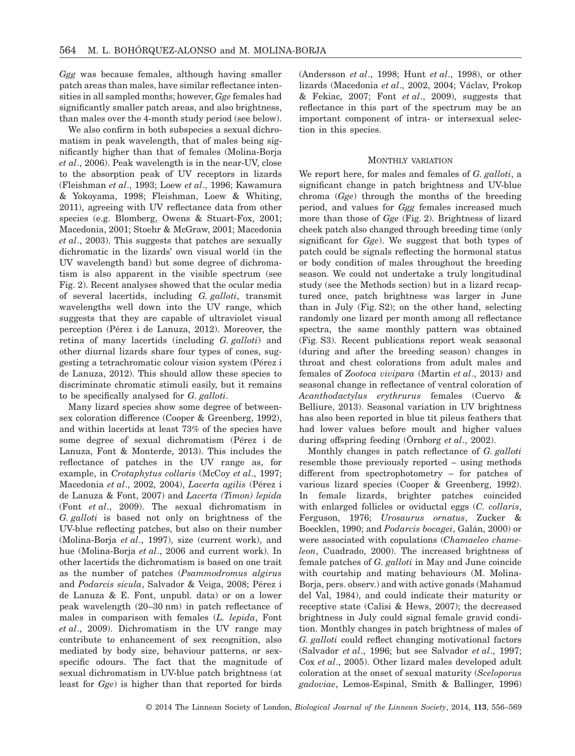*Ggg* was because females, although having smaller patch areas than males, have similar reflectance intensities in all sampled months; however, *Gge* females had significantly smaller patch areas, and also brightness, than males over the 4-month study period (see below).

We also confirm in both subspecies a sexual dichromatism in peak wavelength, that of males being significantly higher than that of females (Molina-Borja *et al*., 2006). Peak wavelength is in the near-UV, close to the absorption peak of UV receptors in lizards (Fleishman *et al*., 1993; Loew *et al*., 1996; Kawamura & Yokoyama, 1998; Fleishman, Loew & Whiting, 2011), agreeing with UV reflectance data from other species (e.g. Blomberg, Owens & Stuart-Fox, 2001; Macedonia, 2001; Stoehr & McGraw, 2001; Macedonia *et al*., 2003). This suggests that patches are sexually dichromatic in the lizards' own visual world (in the UV wavelength band) but some degree of dichromatism is also apparent in the visible spectrum (see Fig. 2). Recent analyses showed that the ocular media of several lacertids, including *G. galloti*, transmit wavelengths well down into the UV range, which suggests that they are capable of ultraviolet visual perception (Pérez i de Lanuza, 2012). Moreover, the retina of many lacertids (including *G. galloti*) and other diurnal lizards share four types of cones, suggesting a tetrachromatic colour vision system (Pérez i de Lanuza, 2012). This should allow these species to discriminate chromatic stimuli easily, but it remains to be specifically analysed for *G. galloti*.

Many lizard species show some degree of betweensex coloration difference (Cooper & Greenberg, 1992), and within lacertids at least 73% of the species have some degree of sexual dichromatism (Pérez i de Lanuza, Font & Monterde, 2013). This includes the reflectance of patches in the UV range as, for example, in *Crotaphytus collaris* (McCoy *et al*., 1997; Macedonia *et al*., 2002, 2004), *Lacerta agilis* (Pérez i de Lanuza & Font, 2007) and *Lacerta (Timon) lepida* (Font *et al*., 2009). The sexual dichromatism in *G. galloti* is based not only on brightness of the UV-blue reflecting patches, but also on their number (Molina-Borja *et al*., 1997), size (current work), and hue (Molina-Borja *et al*., 2006 and current work). In other lacertids the dichromatism is based on one trait as the number of patches (*Psammodromus algirus* and *Podarcis sicula*, Salvador & Veiga, 2008; Pérez i de Lanuza & E. Font, unpubl. data) or on a lower peak wavelength (20–30 nm) in patch reflectance of males in comparison with females (*L. lepida*, Font *et al*., 2009). Dichromatism in the UV range may contribute to enhancement of sex recognition, also mediated by body size, behaviour patterns, or sexspecific odours. The fact that the magnitude of sexual dichromatism in UV-blue patch brightness (at least for *Gge*) is higher than that reported for birds

(Andersson *et al*., 1998; Hunt *et al*., 1998), or other lizards (Macedonia *et al*., 2002, 2004; Václav, Prokop & Fekiac, 2007; Font *et al*., 2009), suggests that reflectance in this part of the spectrum may be an important component of intra- or intersexual selection in this species.

#### MONTHLY VARIATION

We report here, for males and females of *G. galloti*, a significant change in patch brightness and UV-blue chroma (*Gge*) through the months of the breeding period, and values for *Ggg* females increased much more than those of *Gge* (Fig. 2). Brightness of lizard cheek patch also changed through breeding time (only significant for *Gge*). We suggest that both types of patch could be signals reflecting the hormonal status or body condition of males throughout the breeding season. We could not undertake a truly longitudinal study (see the Methods section) but in a lizard recaptured once, patch brightness was larger in June than in July (Fig. S2); on the other hand, selecting randomly one lizard per month among all reflectance spectra, the same monthly pattern was obtained (Fig. S3). Recent publications report weak seasonal (during and after the breeding season) changes in throat and chest colorations from adult males and females of *Zootoca vivipara* (Martin *et al*., 2013) and seasonal change in reflectance of ventral coloration of *Acanthodactylus erythrurus* females (Cuervo & Belliure, 2013). Seasonal variation in UV brightness has also been reported in blue tit pileus feathers that had lower values before moult and higher values during offspring feeding (Örnborg *et al*., 2002).

Monthly changes in patch reflectance of *G. galloti* resemble those previously reported – using methods different from spectrophotometry – for patches of various lizard species (Cooper & Greenberg, 1992). In female lizards, brighter patches coincided with enlarged follicles or oviductal eggs (*C. collaris*, Ferguson, 1976; *Urosaurus ornatus*, Zucker & Boecklen, 1990; and *Podarcis bocagei*, Galán, 2000) or were associated with copulations (*Chamaeleo chameleon*, Cuadrado, 2000). The increased brightness of female patches of *G. galloti* in May and June coincide with courtship and mating behaviours (M. Molina-Borja, pers. observ.) and with active gonads (Mahamud del Val, 1984), and could indicate their maturity or receptive state (Calisi & Hews, 2007); the decreased brightness in July could signal female gravid condition. Monthly changes in patch brightness of males of *G. galloti* could reflect changing motivational factors (Salvador *et al*., 1996; but see Salvador *et al*., 1997; Cox *et al*., 2005). Other lizard males developed adult coloration at the onset of sexual maturity (*Sceloporus gadoviae*, Lemos-Espinal, Smith & Ballinger, 1996)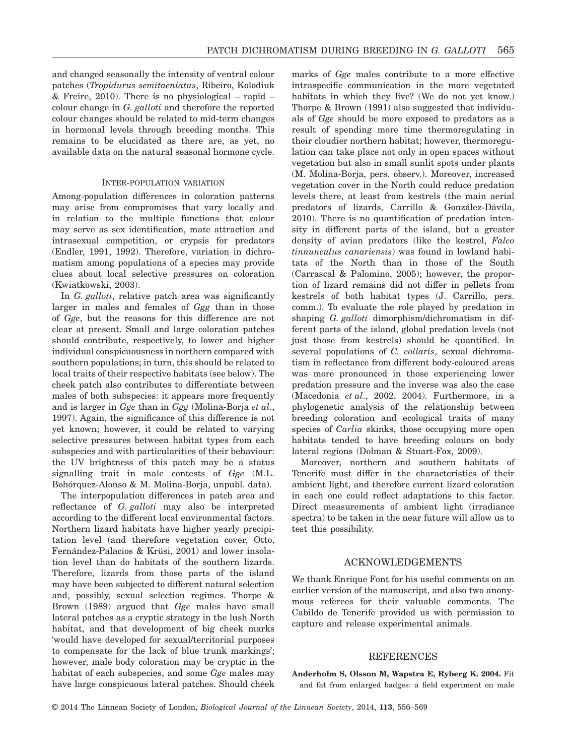and changed seasonally the intensity of ventral colour patches (*Tropidurus semitaeniatus*, Ribeiro, Kolodiuk & Freire, 2010). There is no physiological – rapid – colour change in *G. galloti* and therefore the reported colour changes should be related to mid-term changes in hormonal levels through breeding months. This remains to be elucidated as there are, as yet, no available data on the natural seasonal hormone cycle.

#### INTER-POPULATION VARIATION

Among-population differences in coloration patterns may arise from compromises that vary locally and in relation to the multiple functions that colour may serve as sex identification, mate attraction and intrasexual competition, or crypsis for predators (Endler, 1991, 1992). Therefore, variation in dichromatism among populations of a species may provide clues about local selective pressures on coloration (Kwiatkowski, 2003).

In *G. galloti*, relative patch area was significantly larger in males and females of *Ggg* than in those of *Gge*, but the reasons for this difference are not clear at present. Small and large coloration patches should contribute, respectively, to lower and higher individual conspicuousness in northern compared with southern populations; in turn, this should be related to local traits of their respective habitats (see below). The cheek patch also contributes to differentiate between males of both subspecies: it appears more frequently and is larger in *Gge* than in *Ggg* (Molina-Borja *et al*., 1997). Again, the significance of this difference is not yet known; however, it could be related to varying selective pressures between habitat types from each subspecies and with particularities of their behaviour: the UV brightness of this patch may be a status signalling trait in male contests of *Gge* (M.L. Bohórquez-Alonso & M. Molina-Borja, unpubl. data).

The interpopulation differences in patch area and reflectance of *G. galloti* may also be interpreted according to the different local environmental factors. Northern lizard habitats have higher yearly precipitation level (and therefore vegetation cover, Otto, Fernández-Palacios & Krüsi, 2001) and lower insolation level than do habitats of the southern lizards. Therefore, lizards from those parts of the island may have been subjected to different natural selection and, possibly, sexual selection regimes. Thorpe & Brown (1989) argued that *Gge* males have small lateral patches as a cryptic strategy in the lush North habitat, and that development of big cheek marks 'would have developed for sexual/territorial purposes to compensate for the lack of blue trunk markings'; however, male body coloration may be cryptic in the habitat of each subspecies, and some *Gge* males may have large conspicuous lateral patches. Should cheek marks of *Gge* males contribute to a more effective intraspecific communication in the more vegetated habitats in which they live? (We do not yet know.) Thorpe & Brown (1991) also suggested that individuals of *Gge* should be more exposed to predators as a result of spending more time thermoregulating in their cloudier northern habitat; however, thermoregulation can take place not only in open spaces without vegetation but also in small sunlit spots under plants (M. Molina-Borja, pers. observ.). Moreover, increased vegetation cover in the North could reduce predation levels there, at least from kestrels (the main aerial predators of lizards, Carrillo & González-Dávila, 2010). There is no quantification of predation intensity in different parts of the island, but a greater density of avian predators (like the kestrel, *Falco tinnunculus canariensis*) was found in lowland habitats of the North than in those of the South (Carrascal & Palomino, 2005); however, the proportion of lizard remains did not differ in pellets from kestrels of both habitat types (J. Carrillo, pers. comm.). To evaluate the role played by predation in shaping *G. galloti* dimorphism/dichromatism in different parts of the island, global predation levels (not just those from kestrels) should be quantified. In several populations of *C. collaris*, sexual dichromatism in reflectance from different body-coloured areas was more pronounced in those experiencing lower predation pressure and the inverse was also the case (Macedonia *et al*., 2002, 2004). Furthermore, in a phylogenetic analysis of the relationship between breeding coloration and ecological traits of many species of *Carlia* skinks, those occupying more open habitats tended to have breeding colours on body lateral regions (Dolman & Stuart-Fox, 2009).

Moreover, northern and southern habitats of Tenerife must differ in the characteristics of their ambient light, and therefore current lizard coloration in each one could reflect adaptations to this factor. Direct measurements of ambient light (irradiance spectra) to be taken in the near future will allow us to test this possibility.

## ACKNOWLEDGEMENTS

We thank Enrique Font for his useful comments on an earlier version of the manuscript, and also two anonymous referees for their valuable comments. The Cabildo de Tenerife provided us with permission to capture and release experimental animals.

#### REFERENCES

**Anderholm S, Olsson M, Wapstra E, Ryberg K. 2004.** Fit and fat from enlarged badges: a field experiment on male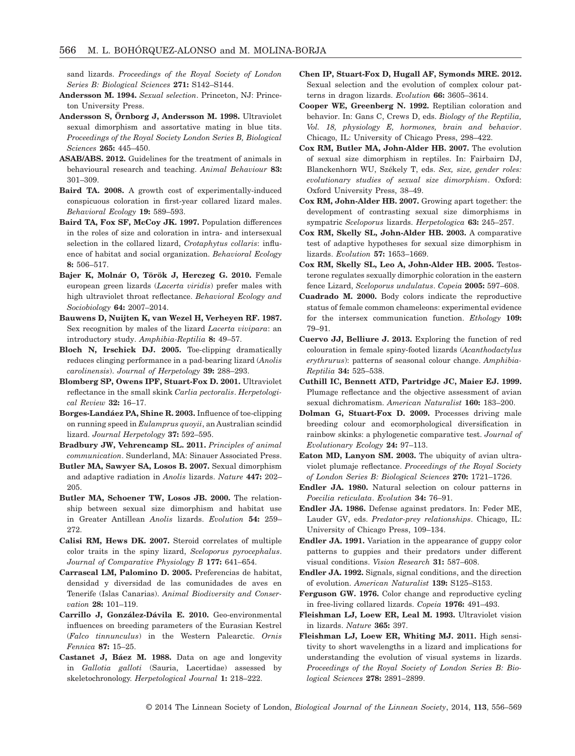sand lizards. *Proceedings of the Royal Society of London Series B: Biological Sciences* **271:** S142–S144.

- **Andersson M. 1994.** *Sexual selection*. Princeton, NJ: Princeton University Press.
- **Andersson S, Örnborg J, Andersson M. 1998.** Ultraviolet sexual dimorphism and assortative mating in blue tits. *Proceedings of the Royal Society London Series B, Biological Sciences* **265:** 445–450.
- **ASAB/ABS. 2012.** Guidelines for the treatment of animals in behavioural research and teaching. *Animal Behaviour* **83:** 301–309.
- **Baird TA. 2008.** A growth cost of experimentally-induced conspicuous coloration in first-year collared lizard males. *Behavioral Ecology* **19:** 589–593.
- **Baird TA, Fox SF, McCoy JK. 1997.** Population differences in the roles of size and coloration in intra- and intersexual selection in the collared lizard, *Crotaphytus collaris*: influence of habitat and social organization. *Behavioral Ecology* **8:** 506–517.
- **Bajer K, Molnár O, Török J, Herczeg G. 2010.** Female european green lizards (*Lacerta viridis*) prefer males with high ultraviolet throat reflectance. *Behavioral Ecology and Sociobiology* **64:** 2007–2014.
- **Bauwens D, Nuijten K, van Wezel H, Verheyen RF. 1987.** Sex recognition by males of the lizard *Lacerta vivipara*: an introductory study. *Amphibia-Reptilia* **8:** 49–57.
- **Bloch N, Irschick DJ. 2005.** Toe-clipping dramatically reduces clinging performance in a pad-bearing lizard (*Anolis carolinensis*). *Journal of Herpetology* **39:** 288–293.
- **Blomberg SP, Owens IPF, Stuart-Fox D. 2001.** Ultraviolet reflectance in the small skink *Carlia pectoralis*. *Herpetological Review* **32:** 16–17.
- **Borges-Landáez PA, Shine R. 2003.** Influence of toe-clipping on running speed in *Eulamprus quoyii*, an Australian scindid lizard. *Journal Herpetology* **37:** 592–595.
- **Bradbury JW, Vehrencamp SL. 2011.** *Principles of animal communication*. Sunderland, MA: Sinauer Associated Press.
- **Butler MA, Sawyer SA, Losos B. 2007.** Sexual dimorphism and adaptive radiation in *Anolis* lizards. *Nature* **447:** 202– 205.
- **Butler MA, Schoener TW, Losos JB. 2000.** The relationship between sexual size dimorphism and habitat use in Greater Antillean *Anolis* lizards. *Evolution* **54:** 259– 272.
- **Calisi RM, Hews DK. 2007.** Steroid correlates of multiple color traits in the spiny lizard, *Sceloporus pyrocephalus*. *Journal of Comparative Physiology B* **177:** 641–654.
- **Carrascal LM, Palomino D. 2005.** Preferencias de habitat, densidad y diversidad de las comunidades de aves en Tenerife (Islas Canarias). *Animal Biodiversity and Conservation* **28:** 101–119.
- **Carrillo J, González-Dávila E. 2010.** Geo-environmental influences on breeding parameters of the Eurasian Kestrel (*Falco tinnunculus*) in the Western Palearctic. *Ornis Fennica* **87:** 15–25.
- **Castanet J, Báez M. 1988.** Data on age and longevity in *Gallotia galloti* (Sauria, Lacertidae) assessed by skeletochronology. *Herpetological Journal* **1:** 218–222.
- **Chen IP, Stuart-Fox D, Hugall AF, Symonds MRE. 2012.** Sexual selection and the evolution of complex colour patterns in dragon lizards. *Evolution* **66:** 3605–3614.
- **Cooper WE, Greenberg N. 1992.** Reptilian coloration and behavior. In: Gans C, Crews D, eds. *Biology of the Reptilia, Vol. 18, physiology E, hormones, brain and behavior*. Chicago, IL: University of Chicago Press, 298–422.
- **Cox RM, Butler MA, John-Alder HB. 2007.** The evolution of sexual size dimorphism in reptiles. In: Fairbairn DJ, Blanckenhorn WU, Székely T, eds. *Sex, size, gender roles: evolutionary studies of sexual size dimorphism*. Oxford: Oxford University Press, 38–49.
- **Cox RM, John-Alder HB. 2007.** Growing apart together: the development of contrasting sexual size dimorphisms in sympatric *Sceloporus* lizards. *Herpetologica* **63:** 245–257.
- **Cox RM, Skelly SL, John-Alder HB. 2003.** A comparative test of adaptive hypotheses for sexual size dimorphism in lizards. *Evolution* **57:** 1653–1669.
- **Cox RM, Skelly SL, Leo A, John-Alder HB. 2005.** Testosterone regulates sexually dimorphic coloration in the eastern fence Lizard, *Sceloporus undulatus*. *Copeia* **2005:** 597–608.
- **Cuadrado M. 2000.** Body colors indicate the reproductive status of female common chameleons: experimental evidence for the intersex communication function. *Ethology* **109:** 79–91.
- **Cuervo JJ, Belliure J. 2013.** Exploring the function of red colouration in female spiny-footed lizards (*Acanthodactylus erythrurus*): patterns of seasonal colour change. *Amphibia-Reptilia* **34:** 525–538.
- **Cuthill IC, Bennett ATD, Partridge JC, Maier EJ. 1999.** Plumage reflectance and the objective assessment of avian sexual dichromatism. *American Naturalist* **160:** 183–200.
- **Dolman G, Stuart-Fox D. 2009.** Processes driving male breeding colour and ecomorphological diversification in rainbow skinks: a phylogenetic comparative test. *Journal of Evolutionary Ecology* **24:** 97–113.
- **Eaton MD, Lanyon SM. 2003.** The ubiquity of avian ultraviolet plumaje reflectance. *Proceedings of the Royal Society of London Series B: Biological Sciences* **270:** 1721–1726.
- **Endler JA. 1980.** Natural selection on colour patterns in *Poecilia reticulata*. *Evolution* **34:** 76–91.
- **Endler JA. 1986.** Defense against predators. In: Feder ME, Lauder GV, eds. *Predator-prey relationships*. Chicago, IL: University of Chicago Press, 109–134.
- **Endler JA. 1991.** Variation in the appearance of guppy color patterns to guppies and their predators under different visual conditions. *Vision Research* **31:** 587–608.
- **Endler JA. 1992.** Signals, signal conditions, and the direction of evolution. *American Naturalist* **139:** S125–S153.
- **Ferguson GW. 1976.** Color change and reproductive cycling in free-living collared lizards. *Copeia* **1976:** 491–493.
- **Fleishman LJ, Loew ER, Leal M. 1993.** Ultraviolet vision in lizards. *Nature* **365:** 397.
- **Fleishman LJ, Loew ER, Whiting MJ. 2011.** High sensitivity to short wavelengths in a lizard and implications for understanding the evolution of visual systems in lizards. *Proceedings of the Royal Society of London Series B: Biological Sciences* **278:** 2891–2899.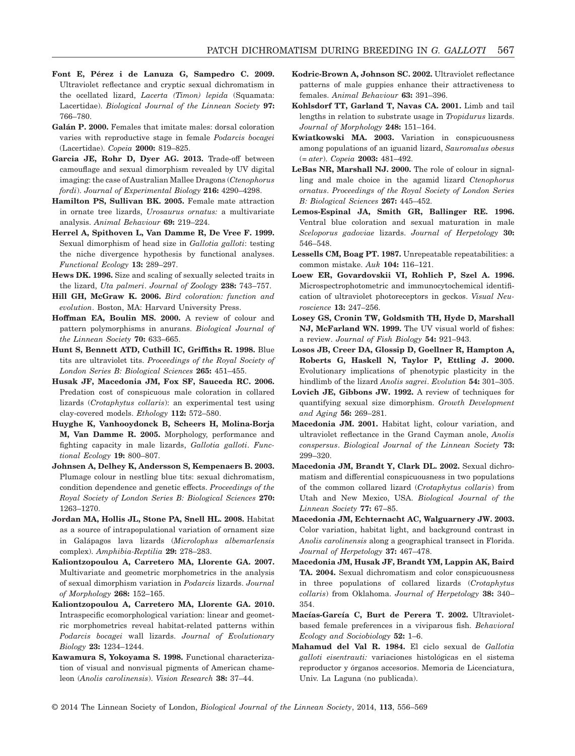- **Font E, Pérez i de Lanuza G, Sampedro C. 2009.** Ultraviolet reflectance and cryptic sexual dichromatism in the ocellated lizard, *Lacerta (Timon) lepida* (Squamata: Lacertidae). *Biological Journal of the Linnean Society* **97:** 766–780.
- **Galán P. 2000.** Females that imitate males: dorsal coloration varies with reproductive stage in female *Podarcis bocagei* (Lacertidae). *Copeia* **2000:** 819–825.
- **Garcia JE, Rohr D, Dyer AG. 2013.** Trade-off between camouflage and sexual dimorphism revealed by UV digital imaging: the case of Australian Mallee Dragons (*Ctenophorus fordi*). *Journal of Experimental Biology* **216:** 4290–4298.
- **Hamilton PS, Sullivan BK. 2005.** Female mate attraction in ornate tree lizards, *Urosaurus ornatus:* a multivariate analysis. *Animal Behaviour* **69:** 219–224.
- **Herrel A, Spithoven L, Van Damme R, De Vree F. 1999.** Sexual dimorphism of head size in *Gallotia galloti*: testing the niche divergence hypothesis by functional analyses. *Functional Ecology* **13:** 289–297.
- **Hews DK. 1996.** Size and scaling of sexually selected traits in the lizard, *Uta palmeri*. *Journal of Zoology* **238:** 743–757.
- **Hill GH, McGraw K. 2006.** *Bird coloration: function and evolution*. Boston, MA: Harvard University Press.
- **Hoffman EA, Boulin MS. 2000.** A review of colour and pattern polymorphisms in anurans. *Biological Journal of the Linnean Society* **70:** 633–665.
- **Hunt S, Bennett ATD, Cuthill IC, Griffiths R. 1998.** Blue tits are ultraviolet tits. *Proceedings of the Royal Society of London Series B: Biological Sciences* **265:** 451–455.
- **Husak JF, Macedonia JM, Fox SF, Sauceda RC. 2006.** Predation cost of conspicuous male coloration in collared lizards (*Crotaphytus collaris*): an experimental test using clay-covered models. *Ethology* **112:** 572–580.
- **Huyghe K, Vanhooydonck B, Scheers H, Molina-Borja M, Van Damme R. 2005.** Morphology, performance and fighting capacity in male lizards, *Gallotia galloti*. *Functional Ecology* **19:** 800–807.
- **Johnsen A, Delhey K, Andersson S, Kempenaers B. 2003.** Plumage colour in nestling blue tits: sexual dichromatism, condition dependence and genetic effects. *Proceedings of the Royal Society of London Series B: Biological Sciences* **270:** 1263–1270.
- **Jordan MA, Hollis JL, Stone PA, Snell HL. 2008.** Habitat as a source of intrapopulational variation of ornament size in Galápagos lava lizards (*Microlophus albemarlensis* complex). *Amphibia-Reptilia* **29:** 278–283.
- **Kaliontzopoulou A, Carretero MA, Llorente GA. 2007.** Multivariate and geometric morphometrics in the analysis of sexual dimorphism variation in *Podarcis* lizards. *Journal of Morphology* **268:** 152–165.
- **Kaliontzopoulou A, Carretero MA, Llorente GA. 2010.** Intraspecific ecomorphological variation: linear and geometric morphometrics reveal habitat-related patterns within *Podarcis bocagei* wall lizards. *Journal of Evolutionary Biology* **23:** 1234–1244.
- **Kawamura S, Yokoyama S. 1998.** Functional characterization of visual and nonvisual pigments of American chameleon (*Anolis carolinensis*). *Vision Research* **38:** 37–44.
- **Kodric-Brown A, Johnson SC. 2002.** Ultraviolet reflectance patterns of male guppies enhance their attractiveness to females. *Animal Behaviour* **63:** 391–396.
- **Kohlsdorf TT, Garland T, Navas CA. 2001.** Limb and tail lengths in relation to substrate usage in *Tropidurus* lizards. *Journal of Morphology* **248:** 151–164.
- **Kwiatkowski MA. 2003.** Variation in conspicuousness among populations of an iguanid lizard, *Sauromalus obesus* (= *ater*). *Copeia* **2003:** 481–492.
- **LeBas NR, Marshall NJ. 2000.** The role of colour in signalling and male choice in the agamid lizard *Ctenophorus ornatus*. *Proceedings of the Royal Society of London Series B: Biological Sciences* **267:** 445–452.
- **Lemos-Espinal JA, Smith GR, Ballinger RE. 1996.** Ventral blue coloration and sexual maturation in male *Sceloporus gadoviae* lizards. *Journal of Herpetology* **30:** 546–548.
- Lessells CM, Boag PT. 1987. Unrepeatable repeatabilities: a common mistake. *Auk* **104:** 116–121.
- **Loew ER, Govardovskii VI, Rohlich P, Szel A. 1996.** Microspectrophotometric and immunocytochemical identification of ultraviolet photoreceptors in geckos. *Visual Neuroscience* **13:** 247–256.
- **Losey GS, Cronin TW, Goldsmith TH, Hyde D, Marshall NJ, McFarland WN. 1999.** The UV visual world of fishes: a review. *Journal of Fish Biology* **54:** 921–943.
- **Losos JB, Creer DA, Glossip D, Goellner R, Hampton A, Roberts G, Haskell N, Taylor P, Ettling J. 2000.** Evolutionary implications of phenotypic plasticity in the hindlimb of the lizard *Anolis sagrei*. *Evolution* **54:** 301–305.
- **Lovich JE, Gibbons JW. 1992.** A review of techniques for quantifying sexual size dimorphism. *Growth Development and Aging* **56:** 269–281.
- **Macedonia JM. 2001.** Habitat light, colour variation, and ultraviolet reflectance in the Grand Cayman anole, *Anolis conspersus*. *Biological Journal of the Linnean Society* **73:** 299–320.
- **Macedonia JM, Brandt Y, Clark DL. 2002.** Sexual dichromatism and differential conspicuousness in two populations of the common collared lizard (*Crotaphytus collaris*) from Utah and New Mexico, USA. *Biological Journal of the Linnean Society* **77:** 67–85.
- **Macedonia JM, Echternacht AC, Walguarnery JW. 2003.** Color variation, habitat light, and background contrast in *Anolis carolinensis* along a geographical transect in Florida. *Journal of Herpetology* **37:** 467–478.
- **Macedonia JM, Husak JF, Brandt YM, Lappin AK, Baird TA. 2004.** Sexual dichromatism and color conspicuousness in three populations of collared lizards (*Crotaphytus collaris*) from Oklahoma. *Journal of Herpetology* **38:** 340– 354.
- **Macías-García C, Burt de Perera T. 2002.** Ultravioletbased female preferences in a viviparous fish. *Behavioral Ecology and Sociobiology* **52:** 1–6.
- **Mahamud del Val R. 1984.** El ciclo sexual de *Gallotia galloti eisentrauti:* variaciones histológicas en el sistema reproductor y órganos accesorios. Memoria de Licenciatura, Univ. La Laguna (no publicada).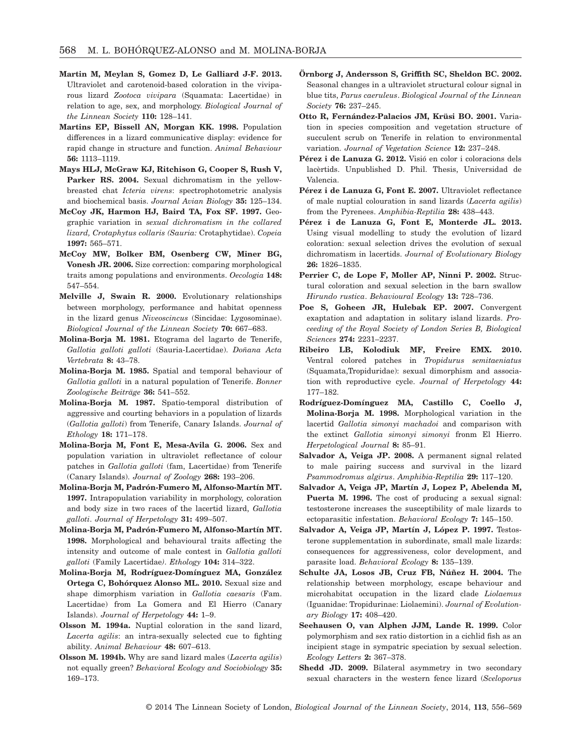- **Martin M, Meylan S, Gomez D, Le Galliard J-F. 2013.** Ultraviolet and carotenoid-based coloration in the viviparous lizard *Zootoca vivipara* (Squamata: Lacertidae) in relation to age, sex, and morphology. *Biological Journal of the Linnean Society* **110:** 128–141.
- **Martins EP, Bissell AN, Morgan KK. 1998.** Population differences in a lizard communicative display: evidence for rapid change in structure and function. *Animal Behaviour* **56:** 1113–1119.
- **Mays HLJ, McGraw KJ, Ritchison G, Cooper S, Rush V, Parker RS. 2004.** Sexual dichromatism in the yellowbreasted chat *Icteria virens*: spectrophotometric analysis and biochemical basis. *Journal Avian Biology* **35:** 125–134.
- **McCoy JK, Harmon HJ, Baird TA, Fox SF. 1997.** Geographic variation in *sexual dichromatism in the collared lizard, Crotaphytus collaris (Sauria:* Crotaphytidae). *Copeia* **1997:** 565–571.
- **McCoy MW, Bolker BM, Osenberg CW, Miner BG, Vonesh JR. 2006.** Size correction: comparing morphological traits among populations and environments. *Oecologia* **148:** 547–554.
- **Melville J, Swain R. 2000.** Evolutionary relationships between morphology, performance and habitat openness in the lizard genus *Niveoscincus* (Sincidae: Lygosominae). *Biological Journal of the Linnean Society* **70:** 667–683.
- **Molina-Borja M. 1981.** Etograma del lagarto de Tenerife, *Gallotia galloti galloti* (Sauria-Lacertidae). *Doñana Acta Vertebrata* **8:** 43–78.
- **Molina-Borja M. 1985.** Spatial and temporal behaviour of *Gallotia galloti* in a natural population of Tenerife. *Bonner Zoologische Beiträge* **36:** 541–552.
- **Molina-Borja M. 1987.** Spatio-temporal distribution of aggressive and courting behaviors in a population of lizards (*Gallotia galloti*) from Tenerife, Canary Islands. *Journal of Ethology* **18:** 171–178.
- **Molina-Borja M, Font E, Mesa-Avila G. 2006.** Sex and population variation in ultraviolet reflectance of colour patches in *Gallotia galloti* (fam, Lacertidae) from Tenerife (Canary Islands). *Journal of Zoology* **268:** 193–206.
- **Molina-Borja M, Padrón-Fumero M, Alfonso-Martín MT. 1997.** Intrapopulation variability in morphology, coloration and body size in two races of the lacertid lizard, *Gallotia galloti*. *Journal of Herpetology* **31:** 499–507.
- **Molina-Borja M, Padrón-Fumero M, Alfonso-Martín MT. 1998.** Morphological and behavioural traits affecting the intensity and outcome of male contest in *Gallotia galloti galloti* (Family Lacertidae*)*. *Ethology* **104:** 314–322.
- **Molina-Borja M, Rodríguez-Domínguez MA, González Ortega C, Bohórquez Alonso ML. 2010.** Sexual size and shape dimorphism variation in *Gallotia caesaris* (Fam. Lacertidae) from La Gomera and El Hierro (Canary Islands). *Journal of Herpetology* **44:** 1–9.
- **Olsson M. 1994a.** Nuptial coloration in the sand lizard, *Lacerta agilis*: an intra-sexually selected cue to fighting ability. *Animal Behaviour* **48:** 607–613.
- **Olsson M. 1994b.** Why are sand lizard males (*Lacerta agilis*) not equally green? *Behavioral Ecology and Sociobiology* **35:** 169–173.
- **Örnborg J, Andersson S, Griffith SC, Sheldon BC. 2002.** Seasonal changes in a ultraviolet structural colour signal in blue tits, *Parus caeruleus*. *Biological Journal of the Linnean Society* **76:** 237–245.
- **Otto R, Fernández-Palacios JM, Krüsi BO. 2001.** Variation in species composition and vegetation structure of succulent scrub on Tenerife in relation to environmental variation. *Journal of Vegetation Science* **12:** 237–248.
- **Pérez i de Lanuza G. 2012.** Visió en color i coloracions dels lacèrtids. Unpublished D. Phil. Thesis, Universidad de Valencia.
- **Pérez i de Lanuza G, Font E. 2007.** Ultraviolet reflectance of male nuptial colouration in sand lizards (*Lacerta agilis*) from the Pyrenees. *Amphibia-Reptilia* **28:** 438–443.
- **Pérez i de Lanuza G, Font E, Monterde JL. 2013.** Using visual modelling to study the evolution of lizard coloration: sexual selection drives the evolution of sexual dichromatism in lacertids. *Journal of Evolutionary Biology* **26:** 1826–1835.
- **Perrier C, de Lope F, Moller AP, Ninni P. 2002.** Structural coloration and sexual selection in the barn swallow *Hirundo rustica*. *Behavioural Ecology* **13:** 728–736.
- **Poe S, Goheen JR, Hulebak EP. 2007.** Convergent exaptation and adaptation in solitary island lizards. *Proceeding of the Royal Society of London Series B, Biological Sciences* **274:** 2231–2237.
- **Ribeiro LB, Kolodiuk MF, Freire EMX. 2010.** Ventral colored patches in *Tropidurus semitaeniatus* (Squamata,Tropiduridae): sexual dimorphism and association with reproductive cycle. *Journal of Herpetology* **44:** 177–182.
- **Rodríguez-Domínguez MA, Castillo C, Coello J, Molina-Borja M. 1998.** Morphological variation in the lacertid *Gallotia simonyi machadoi* and comparison with the extinct *Gallotia simonyi simonyi* fronm El Hierro. *Herpetological Journal* **8:** 85–91.
- **Salvador A, Veiga JP. 2008.** A permanent signal related to male pairing success and survival in the lizard *Psammodromus algirus*. *Amphibia-Reptilia* **29:** 117–120.
- **Salvador A, Veiga JP, Martín J, Lopez P, Abelenda M, Puerta M. 1996.** The cost of producing a sexual signal: testosterone increases the susceptibility of male lizards to ectoparasitic infestation. *Behavioral Ecology* **7:** 145–150.
- **Salvador A, Veiga JP, Martín J, López P. 1997.** Testosterone supplementation in subordinate, small male lizards: consequences for aggressiveness, color development, and parasite load. *Behavioral Ecology* **8:** 135–139.
- **Schulte JA, Losos JB, Cruz FB, Núñez H. 2004.** The relationship between morphology, escape behaviour and microhabitat occupation in the lizard clade *Liolaemus* (Iguanidae: Tropidurinae: Liolaemini). *Journal of Evolutionary Biology* **17:** 408–420.
- **Seehausen O, van Alphen JJM, Lande R. 1999.** Color polymorphism and sex ratio distortion in a cichlid fish as an incipient stage in sympatric speciation by sexual selection. *Ecology Letters* **2:** 367–378.
- **Shedd JD. 2009.** Bilateral asymmetry in two secondary sexual characters in the western fence lizard (*Sceloporus*